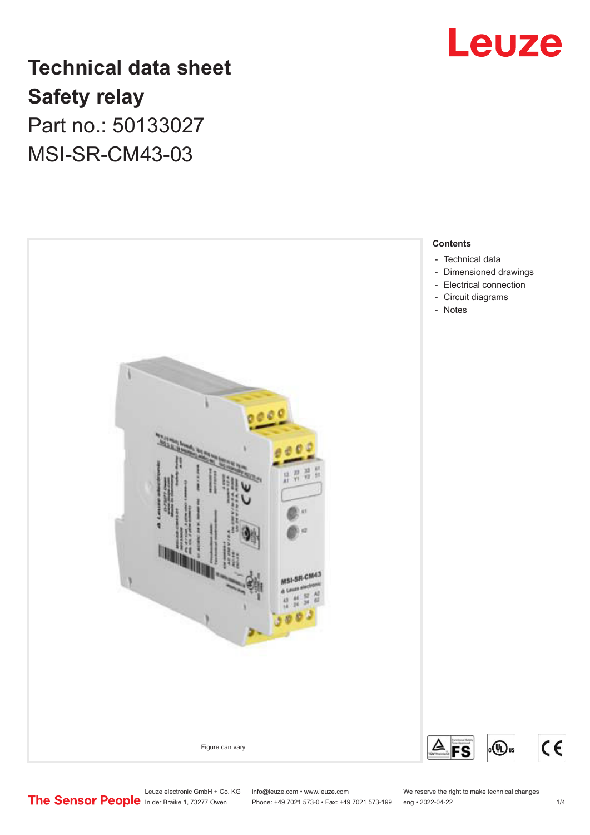

## **Technical data sheet Safety relay** Part no.: 50133027 MSI-SR-CM43-03



Leuze electronic GmbH + Co. KG info@leuze.com • www.leuze.com We reserve the right to make technical changes<br>
The Sensor People in der Braike 1, 73277 Owen Phone: +49 7021 573-0 • Fax: +49 7021 573-199 eng • 2022-04-22 Phone: +49 7021 573-0 • Fax: +49 7021 573-199 eng • 2022-04-22

 $c \in$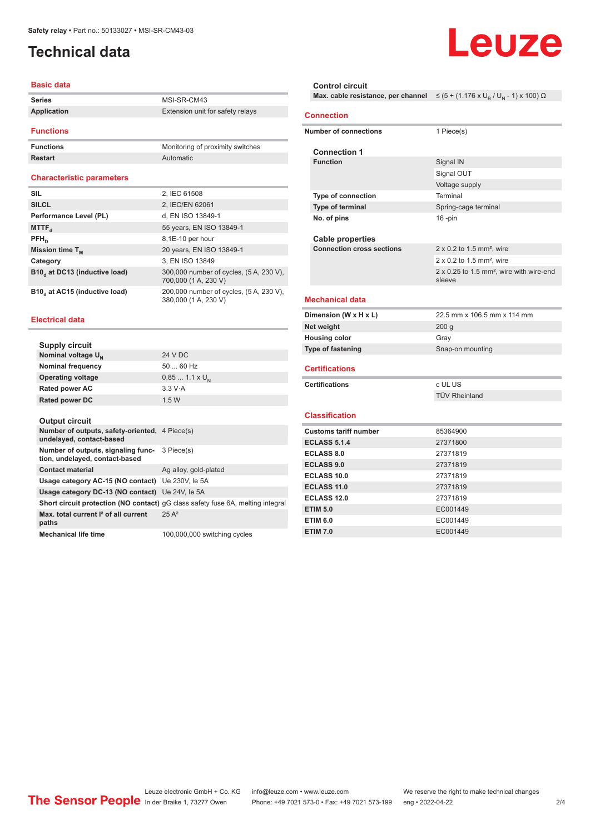## <span id="page-1-0"></span>**Technical data**

#### **Basic data**

| <b>Series</b>    | MSI-SR-CM43                      |
|------------------|----------------------------------|
| Application      | Extension unit for safety relays |
| <b>Functions</b> |                                  |
| <b>Functions</b> | Monitoring of proximity switches |
| <b>Restart</b>   | Automatic                        |

#### **Characteristic parameters**

| <b>SIL</b>                                | 2, IEC 61508                                                    |
|-------------------------------------------|-----------------------------------------------------------------|
| <b>SILCL</b>                              | 2, IEC/EN 62061                                                 |
| Performance Level (PL)                    | d, EN ISO 13849-1                                               |
| MTTF <sub>a</sub>                         | 55 years, EN ISO 13849-1                                        |
| $PFH_n$                                   | 8,1E-10 per hour                                                |
| Mission time $T_M$                        | 20 years, EN ISO 13849-1                                        |
| Category                                  | 3, EN ISO 13849                                                 |
| B10, at DC13 (inductive load)             | 300,000 number of cycles, (5 A, 230 V),<br>700,000 (1 A, 230 V) |
| B10 <sub>d</sub> at AC15 (inductive load) | 200,000 number of cycles, (5 A, 230 V),<br>380,000 (1 A, 230 V) |

#### **Electrical data**

| Supply circuit                                                                    |                                                                                 |
|-----------------------------------------------------------------------------------|---------------------------------------------------------------------------------|
| Nominal voltage U <sub>N</sub>                                                    | 24 V DC                                                                         |
| <b>Nominal frequency</b>                                                          | $5060$ Hz                                                                       |
| <b>Operating voltage</b>                                                          | $0.851.1 \times U_{N}$                                                          |
| <b>Rated power AC</b>                                                             | 3.3 V·A                                                                         |
| <b>Rated power DC</b>                                                             | 1.5W                                                                            |
|                                                                                   |                                                                                 |
| <b>Output circuit</b>                                                             |                                                                                 |
| <b>Number of outputs, safety-oriented, 4 Piece(s)</b><br>undelayed, contact-based |                                                                                 |
| Number of outputs, signaling func-<br>tion, undelayed, contact-based              | 3 Piece(s)                                                                      |
| <b>Contact material</b>                                                           | Ag alloy, gold-plated                                                           |
| Usage category AC-15 (NO contact)                                                 | Ue 230V, le 5A                                                                  |
| Usage category DC-13 (NO contact) Ue 24V, le 5A                                   |                                                                                 |
|                                                                                   | Short circuit protection (NO contact) qG class safety fuse 6A, melting integral |
| Max, total current <sup>2</sup> of all current<br>paths                           | $25A^2$                                                                         |
| <b>Mechanical life time</b>                                                       | 100,000,000 switching cycles                                                    |

## **Control circuit Max. cable resistance, per channel** ≤ (5 + (1.176 x U<sub>B</sub> / U<sub>N</sub> - 1) x 100) Ω **Connection Number of connections** 1 Piece(s) **Connection 1 Signal IN** Signal OUT Voltage supply **Type of connection** Terminal **Type of terminal** Spring-cage terminal **No. of pins** 16 -pin

**Cable properties Connection cross sections** 2 x 0.2 to 1.5 mm², wire

#### **Mechanical data**

| Dimension (W x H x L)    | 22.5 mm x 106.5 mm x 114 mm |
|--------------------------|-----------------------------|
| Net weight               | 200 <sub>a</sub>            |
| <b>Housing color</b>     | Grav                        |
| <b>Type of fastening</b> | Snap-on mounting            |
|                          |                             |

sleeve

 $2 \times 0.2$  to 1.5 mm<sup>2</sup> wire

2 x 0.25 to 1.5 mm², wire with wire-end

#### **Certifications**

| c UL US              |
|----------------------|
| <b>TÜV Rheinland</b> |

### **Classification**

| <b>Customs tariff number</b> | 85364900 |
|------------------------------|----------|
| <b>ECLASS 5.1.4</b>          | 27371800 |
| <b>ECLASS 8.0</b>            | 27371819 |
| <b>ECLASS 9.0</b>            | 27371819 |
| ECLASS 10.0                  | 27371819 |
| ECLASS 11.0                  | 27371819 |
| ECLASS 12.0                  | 27371819 |
| <b>ETIM 5.0</b>              | EC001449 |
| <b>ETIM 6.0</b>              | EC001449 |
| <b>ETIM 7.0</b>              | EC001449 |

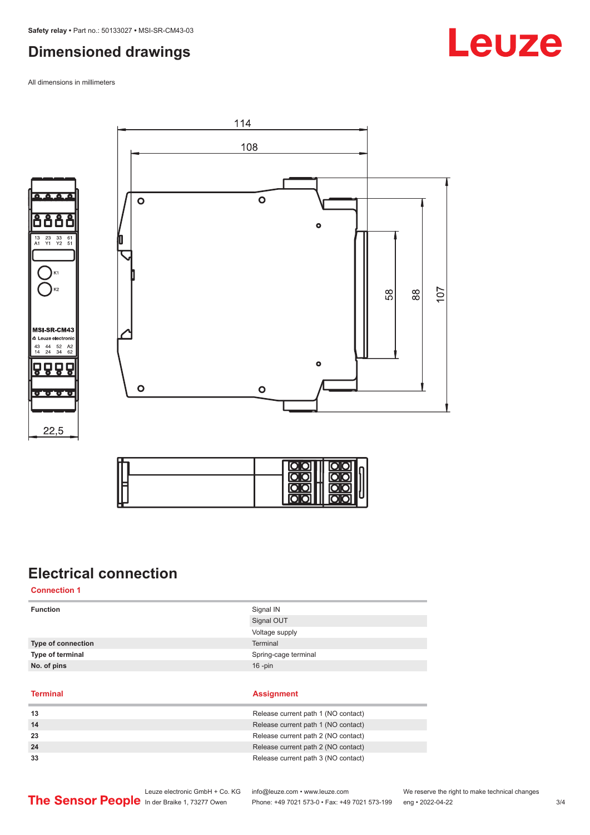## <span id="page-2-0"></span>**Dimensioned drawings**

All dimensions in millimeters







## **Electrical connection**

**Connection 1**

| <b>Function</b>    | Signal IN            |
|--------------------|----------------------|
|                    | Signal OUT           |
|                    | Voltage supply       |
| Type of connection | Terminal             |
| Type of terminal   | Spring-cage terminal |
| No. of pins        | $16$ -pin            |
|                    |                      |

**Terminal Assignment**

| 13 | Release current path 1 (NO contact) |
|----|-------------------------------------|
| 14 | Release current path 1 (NO contact) |
| 23 | Release current path 2 (NO contact) |
| 24 | Release current path 2 (NO contact) |
| 33 | Release current path 3 (NO contact) |